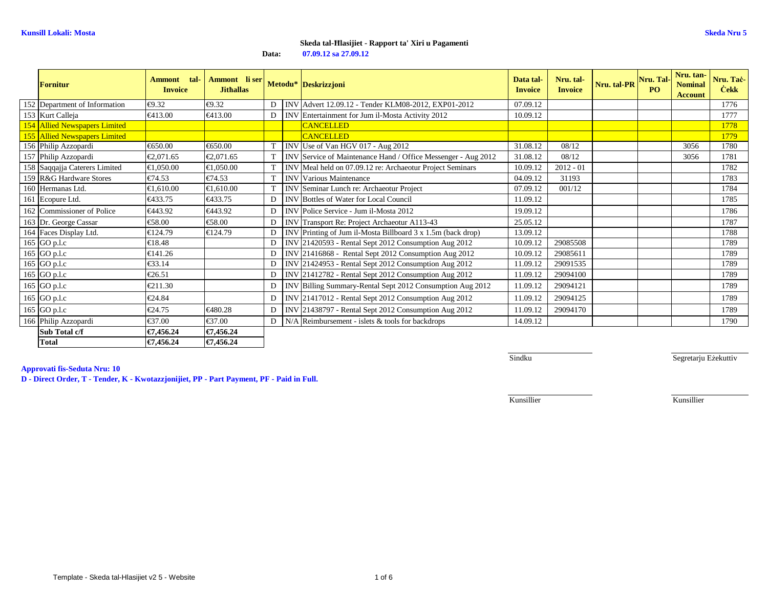**Data:07.09.12 sa 27.09.12**

| <b>Fornitur</b>               | tal-<br>Ammont<br><b>Invoice</b> | Ammont li ser<br><b>Jithallas</b>              |                |            | Metodu* Deskrizzjoni                                       | Data tal-<br><b>Invoice</b> | Nru. tal-<br><b>Invoice</b> | Nru. tal-PR | Nru. Tal-<br>PO <sub>1</sub> | Nru. tan-<br><b>Nominal</b><br><b>Account</b> | Nru. Taċ-<br><b>Cekk</b> |
|-------------------------------|----------------------------------|------------------------------------------------|----------------|------------|------------------------------------------------------------|-----------------------------|-----------------------------|-------------|------------------------------|-----------------------------------------------|--------------------------|
| 152 Department of Information | €9.32                            | €9.32                                          | D <sub>1</sub> |            | INV Advert 12.09.12 - Tender KLM08-2012, EXP01-2012        | 07.09.12                    |                             |             |                              |                                               | 1776                     |
| 153 Kurt Calleja              | €413.00                          | €413.00                                        | $\mathbf{D}$   |            | INV Entertainment for Jum il-Mosta Activity 2012           | 10.09.12                    |                             |             |                              |                                               | 1777                     |
| 154 Allied Newspapers Limited |                                  |                                                |                |            | <b>CANCELLED</b>                                           |                             |                             |             |                              |                                               | 1778                     |
| 155 Allied Newspapers Limited |                                  |                                                |                |            | <b>CANCELLED</b>                                           |                             |                             |             |                              |                                               | 1779                     |
| 156 Philip Azzopardi          | €650.00                          | €650.00                                        |                |            | INV Use of Van HGV 017 - Aug 2012                          | 31.08.12                    | 08/12                       |             |                              | 3056                                          | 1780                     |
| 157 Philip Azzopardi          | €2,071.65                        | €2.071.65                                      |                | <b>INV</b> | Service of Maintenance Hand / Office Messenge - Aug 2012   | 31.08.12                    | 08/12                       |             |                              | 3056                                          | 1781                     |
| 158 Saqqajja Caterers Limited | €1.050.00                        | €1.050.00                                      |                | <b>INV</b> | Meal held on 07.09.12 re: Archaeotur Projet Seminars       | 10.09.12                    | $2012 - 01$                 |             |                              |                                               | 1782                     |
| 159 R&G Hardware Stores       | €74.53                           | €74.53                                         |                | <b>INV</b> | Various Maintenance                                        | 04.09.12                    | 31193                       |             |                              |                                               | 1783                     |
| 160 Hermanas Ltd.             | €1.610.00                        | €1.610.00                                      |                | <b>INV</b> | Seminar Lunch re: Archaeotur Project                       | 07.09.12                    | 001/12                      |             |                              |                                               | 1784                     |
| 161 Ecopure Ltd.              | €433.75                          | €433.75                                        | D.             | <b>INV</b> | Bottles of Water for Local Council                         | 11.09.12                    |                             |             |                              |                                               | 1785                     |
| 162 Commissioner of Police    | €443.92                          | €443.92                                        | D              | <b>INV</b> | Police Service - Jum il-Mosta 2012                         | 19.09.12                    |                             |             |                              |                                               | 1786                     |
| 163 Dr. George Cassar         | €58.00                           | €58.00                                         | D              |            | INV Transport Re: Project Archaeotur A113-43               | 25.05.12                    |                             |             |                              |                                               | 1787                     |
| 164 Faces Display Ltd.        | €124.79                          | €124.79                                        | D.             |            | INV Printing of Jum il-Mosta Billboard 3 x 1.5m (bak drop) | 13.09.12                    |                             |             |                              |                                               | 1788                     |
| 165 GO p.l.c                  | €18.48                           |                                                | D              |            | INV 21420593 - Rental Sept 2012 Consumption Aug 2012       | 10.09.12                    | 29085508                    |             |                              |                                               | 1789                     |
| 165 GO p.l.c                  | €141.26                          |                                                | D              |            | INV 21416868 - Rental Sept 2012 Consumption Aug 2012       | 10.09.12                    | 29085611                    |             |                              |                                               | 1789                     |
| 165 GO p.l.c                  | €33.14                           |                                                | D              |            | INV 21424953 - Rental Sept 2012 Consumption Aug 2012       | 11.09.12                    | 29091535                    |             |                              |                                               | 1789                     |
| 165 GO p.l.c                  | €26.51                           |                                                | D              |            | INV 21412782 - Rental Sept 2012 Consumption Aug 2012       | 11.09.12                    | 29094100                    |             |                              |                                               | 1789                     |
| 165 GO p.l.c                  | €211.30                          |                                                | D              |            | INV Billing Summary-Rental Sept 2012 Consumption Aug 2012  | 11.09.12                    | 29094121                    |             |                              |                                               | 1789                     |
| 165 GO p.l.c                  | €24.84                           |                                                | D              |            | INV 21417012 - Rental Sept 2012 Consumption Aug 2012       | 11.09.12                    | 29094125                    |             |                              |                                               | 1789                     |
| 165 GO p.l.c                  | €24.75                           | €480.28                                        | D              |            | INV 21438797 - Rental Sept 2012 Consumption Aug 2012       | 11.09.12                    | 29094170                    |             |                              |                                               | 1789                     |
| 166 Philip Azzopardi          | €37.00                           | $\textcolor{red}{\textbf{\textsterling}}37.00$ | $\overline{D}$ |            | $N/A$ Reimbursement - islets $&$ tools for backdrops       | 14.09.12                    |                             |             |                              |                                               | 1790                     |
| Sub Total c/f                 | €7,456.24                        | €7.456.24                                      |                |            |                                                            |                             |                             |             |                              |                                               |                          |
| <b>Total</b>                  | €7,456.24                        | €7,456.24                                      |                |            |                                                            |                             |                             |             |                              |                                               |                          |

**Approvati fis-Seduta Nru: 10**

**D - Direct Order, T - Tender, K - Kwotazzjonijiet, PP - Part Payment, PF - Paid in Full.**

Sindku

Segretarju Eżekuttiv

Kunsillier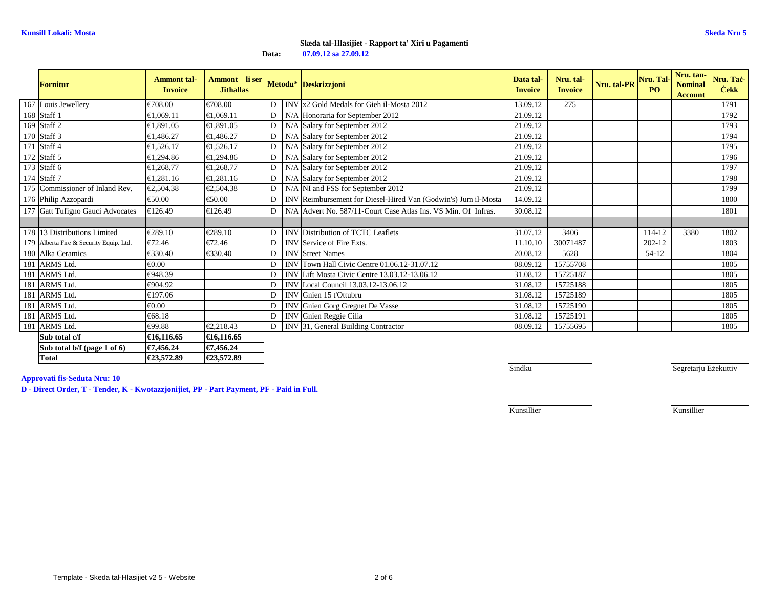**Data:07.09.12 sa 27.09.12**

| <b>Fornitur</b>                         | <b>Ammont</b> tal-<br><b>Invoice</b> | Ammont li ser<br><b>Jithallas</b> |                |                | Metodu* Deskrizzjoni                                          | Data tal-<br><b>Invoice</b> | Nru. tal-<br><b>Invoice</b> | Nru. tal-PR Nru. Tal- | PO.     | Nru. tan-<br><b>Nominal</b><br><b>Account</b> | Nru. Taċ-<br><b>Cekk</b> |
|-----------------------------------------|--------------------------------------|-----------------------------------|----------------|----------------|---------------------------------------------------------------|-----------------------------|-----------------------------|-----------------------|---------|-----------------------------------------------|--------------------------|
| 167 Louis Jewellery                     | €708.00                              | €708.00                           | D              | <b>INV</b>     | x2 Gold Medals for Gieh il-Mosta 2012                         | 13.09.12                    | 275                         |                       |         |                                               | 1791                     |
| 168 Staff 1                             | €1,069.11                            | €1.069.11                         | D              | N/A            | Honoraria for September 2012                                  | 21.09.12                    |                             |                       |         |                                               | 1792                     |
| 169 Staff 2                             | €1,891.05                            | €1,891.05                         | $\mathbf{D}$   | N/A            | Salary for September 2012                                     | 21.09.12                    |                             |                       |         |                                               | 1793                     |
| 170 Staff 3                             | €1,486.27                            | €1,486.27                         | $\mathbf{D}$   | N/A            | Salary for September 2012                                     | 21.09.12                    |                             |                       |         |                                               | 1794                     |
| 171 Staff 4                             | €1.526.17                            | €1.526.17                         | D <sub>1</sub> | N/A            | Salary for September 2012                                     | 21.09.12                    |                             |                       |         |                                               | 1795                     |
| 172 Staff 5                             | €1.294.86                            | €1,294.86                         | $\mathbf{D}$   | N <sub>1</sub> | Salary for September 2012                                     | 21.09.12                    |                             |                       |         |                                               | 1796                     |
| 173 Staff 6                             | €1,268.77                            | €1,268.77                         | D              |                | N/A Salary for September 2012                                 | 21.09.12                    |                             |                       |         |                                               | 1797                     |
| 174 Staff 7                             | €1,281.16                            | €1,281.16                         | D              | N/A            | Salary for September 2012                                     | 21.09.12                    |                             |                       |         |                                               | 1798                     |
| 175 Commissioner of Inland Rev.         | €2,504.38                            | €2,504.38                         | D              |                | N/A NI and FSS for September 2012                             | 21.09.12                    |                             |                       |         |                                               | 1799                     |
| 176 Philip Azzopardi                    | €50.00                               | €50.00                            | $\mathbf{D}$   |                | INV Reimbursement for Diesel-Hired Van (Godwin's Jum il-Mosta | 14.09.12                    |                             |                       |         |                                               | 1800                     |
| 177 Gatt Tufigno Gauci Advocates        | €126.49                              | €126.49                           | $\mathbf{D}$   |                | N/A Advert No. 587/11-Court Case Atlas is, VS Min, Of Infras. | 30.08.12                    |                             |                       |         |                                               | 1801                     |
|                                         |                                      |                                   |                |                |                                                               |                             |                             |                       |         |                                               |                          |
| 178 13 Distributions Limited            | €289.10                              | €289.10                           | $\mathbf{D}$   |                | <b>INV</b> Distribution of TCTC Leaflets                      | 31.07.12                    | 3406                        |                       | 114-12  | 3380                                          | 1802                     |
| 179 Alberta Fire & Security Equip. Ltd. | €72.46                               | €72.46                            | $\mathbf{D}$   |                | INV Service of Fire Exts.                                     | 11.10.10                    | 30071487                    |                       | 202-12  |                                               | 1803                     |
| 180 Alka Ceramics                       | €330.40                              | €330.40                           | $\overline{D}$ |                | <b>INV</b> Street Names                                       | 20.08.12                    | 5628                        |                       | $54-12$ |                                               | 1804                     |
| 181 ARMS Ltd.                           | $\epsilon 0.00$                      |                                   |                |                | D   INV Town Hall Civic Centre 01.06.12-31.07.12              | 08.09.12                    | 15755708                    |                       |         |                                               | 1805                     |
| 181 ARMS Ltd.                           | €948.39                              |                                   | D              |                | INV Lift Mosta Civic Centre 13.03.12-13.06.12                 | 31.08.12                    | 15725187                    |                       |         |                                               | 1805                     |
| 181 ARMS Ltd.                           | €904.92                              |                                   | D              |                | INV Local Council 13.03.12-13.06.12                           | 31.08.12                    | 15725188                    |                       |         |                                               | 1805                     |
| 181 ARMS Ltd.                           | €197.06                              |                                   | D              |                | INV Gnien 15 t'Ottubru                                        | 31.08.12                    | 15725189                    |                       |         |                                               | 1805                     |
| 181 ARMS Ltd.                           | € $0.00$                             |                                   | $\overline{D}$ |                | INV Gnien Gorg Gregnet De Vasse                               | 31.08.12                    | 15725190                    |                       |         |                                               | 1805                     |
| 181 ARMS Ltd.                           | €68.18                               |                                   | D <sub>1</sub> |                | INV Gnien Reggie Cilia                                        | 31.08.12                    | 15725191                    |                       |         |                                               | 1805                     |
| 181 ARMS Ltd.                           | €99.88                               | €2,218.43                         | D              |                | INV 31, General Building Contractor                           | 08.09.12                    | 15755695                    |                       |         |                                               | 1805                     |
| Sub total c/f                           | €16,116.65                           | €16,116.65                        |                |                |                                                               |                             |                             |                       |         |                                               |                          |
| Sub total b/f (page 1 of 6)             | €7,456.24                            | €7,456.24                         |                |                |                                                               |                             |                             |                       |         |                                               |                          |

**Approvati fis-Seduta Nru: 10**

**Total €23,572.89 €23,572.89**

**D - Direct Order, T - Tender, K - Kwotazzjonijiet, PP - Part Payment, PF - Paid in Full.**

€23,572.89

Sindku

Segretarju Eżekuttiv

Kunsillier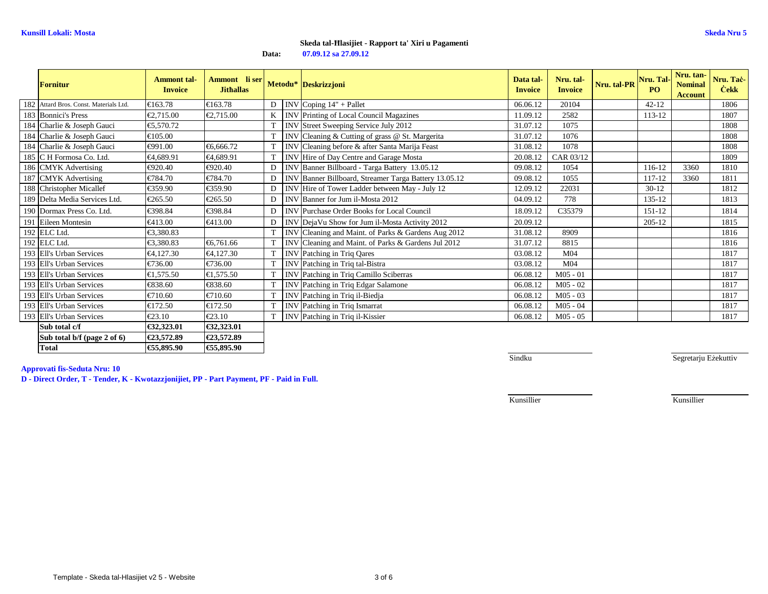**Data:07.09.12 sa 27.09.12**

|     | <b>Fornitur</b>                        | <b>Ammont</b> tal-<br><b>Invoice</b> | Ammont li ser Metodu* Deskrizzjoni<br><b>Jithallas</b> |    |            |                                                       | Data tal-<br><b>Invoice</b> | Nru. tal-<br><b>Invoice</b> | Nru. tal-PR Nru. Tal- | <b>PO</b> | Nru. tan-<br><b>Nominal</b><br><b>Account</b> | Nru. Tac-<br><b>Cekk</b> |
|-----|----------------------------------------|--------------------------------------|--------------------------------------------------------|----|------------|-------------------------------------------------------|-----------------------------|-----------------------------|-----------------------|-----------|-----------------------------------------------|--------------------------|
|     | 182 Attard Bros. Const. Materials Ltd. | €163.78                              | €163.78                                                | D  |            | INV Coping $14"$ + Pallet                             | 06.06.12                    | 20104                       |                       | $42 - 12$ |                                               | 1806                     |
|     | 183 Bonnici's Press                    | €2,715.00                            | €2,715.00                                              |    |            | INV Printing of Local Council Magazines               | 11.09.12                    | 2582                        |                       | 113-12    |                                               | 1807                     |
|     | 184 Charlie & Joseph Gauci             | €5,570.72                            |                                                        |    |            | INV Street Sweeping Service July 2012                 | 31.07.12                    | 1075                        |                       |           |                                               | 1808                     |
|     | 184 Charlie & Joseph Gauci             | €105.00                              |                                                        |    |            | INV Cleaning & Cutting of grass @ St. Margeria        | 31.07.12                    | 1076                        |                       |           |                                               | 1808                     |
|     | 184 Charlie & Joseph Gauci             | €991.00                              | €6.666.72                                              |    |            | INV Cleaning before & after Santa Marija Fast         | 31.08.12                    | 1078                        |                       |           |                                               | 1808                     |
|     | 185 C H Formosa Co. Ltd.               | €4,689.91                            | €4.689.91                                              |    |            | INV Hire of Day Centre and Garage Mosta               | 20.08.12                    | CAR03/12                    |                       |           |                                               | 1809                     |
|     | 186 CMYK Advertising                   | €920.40                              | €920.40                                                | D  |            | INV Banner Billboard - Targa Battery 13.05.12         | 09.08.12                    | 1054                        |                       | 116-12    | 3360                                          | 1810                     |
|     | 187 CMYK Advertising                   | €784.70                              | €784.70                                                | D  |            | INV Banner Billboard, Streamer Targa Batteryl 3.05.12 | 09.08.12                    | 1055                        |                       | 117-12    | 3360                                          | 1811                     |
|     | 188 Christopher Micallef               | €359.90                              | €359.90                                                | D  |            | INV Hire of Tower Ladder between May - July 12        | 12.09.12                    | 22031                       |                       | $30-12$   |                                               | 1812                     |
|     | 189 Delta Media Services Ltd.          | €265.50                              | €265.50                                                | D  |            | INV Banner for Jum il-Mosta 2012                      | 04.09.12                    | 778                         |                       | 135-12    |                                               | 1813                     |
|     | 190 Dormax Press Co. Ltd.              | €398.84                              | €398.84                                                | D  |            | INV Purchase Order Books for Local Council            | 18.09.12                    | C35379                      |                       | 151-12    |                                               | 1814                     |
| 191 | Eileen Montesin                        | €413.00                              | €413.00                                                | D  |            | INV DejaVu Show for Jum il-Mosta Activity 2012        | 20.09.12                    |                             |                       | 20512     |                                               | 1815                     |
|     | 192 ELC Ltd.                           | €3,380.83                            |                                                        |    |            | INV Cleaning and Maint. of Parks & Gardens Aug 2012   | 31.08.12                    | 8909                        |                       |           |                                               | 1816                     |
|     | 192 ELC Ltd.                           | €3,380.83                            | €6,761.66                                              |    | <b>INV</b> | Cleaning and Maint. of Parks & Gardens Jul 2012       | 31.07.12                    | 8815                        |                       |           |                                               | 1816                     |
|     | 193 Ell's Urban Services               | €4,127.30                            | €4,127.30                                              | T. |            | INV Patching in Triq Qares                            | 03.08.12                    | M <sub>04</sub>             |                       |           |                                               | 1817                     |
|     | 193 Ell's Urban Services               | €736.00                              | €736.00                                                |    |            | INV Patching in Triq tal-Bistra                       | 03.08.12                    | M <sub>04</sub>             |                       |           |                                               | 1817                     |
|     | 193 Ell's Urban Services               | €1,575.50                            | €1.575.50                                              |    |            | INV Patching in Triq Camillo Sciberras                | 06.08.12                    | M05 01                      |                       |           |                                               | 1817                     |
|     | 193 Ell's Urban Services               | €838.60                              | €838.60                                                |    |            | INV Patching in Triq Edgar Salamone                   | 06.08.12                    | $M05 - 02$                  |                       |           |                                               | 1817                     |
|     | 193 Ell's Urban Services               | €710.60                              | €710.60                                                |    | <b>INV</b> | Patching in Triq il-Biedja                            | 06.08.12                    | $M05 - 03$                  |                       |           |                                               | 1817                     |
|     | 193 Ell's Urban Services               | €172.50                              | €172.50                                                |    |            | INV Patching in Triq Ismarrat                         | 06.08.12                    | $M05 - 04$                  |                       |           |                                               | 1817                     |
|     | 193 Ell's Urban Services               | $\epsilon$ 23.10                     | $\epsilon$ 23.10                                       |    |            | INV Patching in Triq il-Kissier                       | 06.08.12                    | $M05 - 05$                  |                       |           |                                               | 1817                     |
|     | Sub total c/f                          | €32,323.01                           | €32,323.01                                             |    |            |                                                       |                             |                             |                       |           |                                               |                          |
|     | Sub total b/f (page 2 of 6)            | €23,572.89                           | €23,572.89                                             |    |            |                                                       |                             |                             |                       |           |                                               |                          |
|     | <b>Total</b>                           | €55,895.90                           | €55,895.90                                             |    |            |                                                       |                             |                             |                       |           |                                               |                          |

**Approvati fis-Seduta Nru: 10**

**D - Direct Order, T - Tender, K - Kwotazzjonijiet, PP - Part Payment, PF - Paid in Full.**

Sindku

Segretarju Eżekuttiv

Kunsillier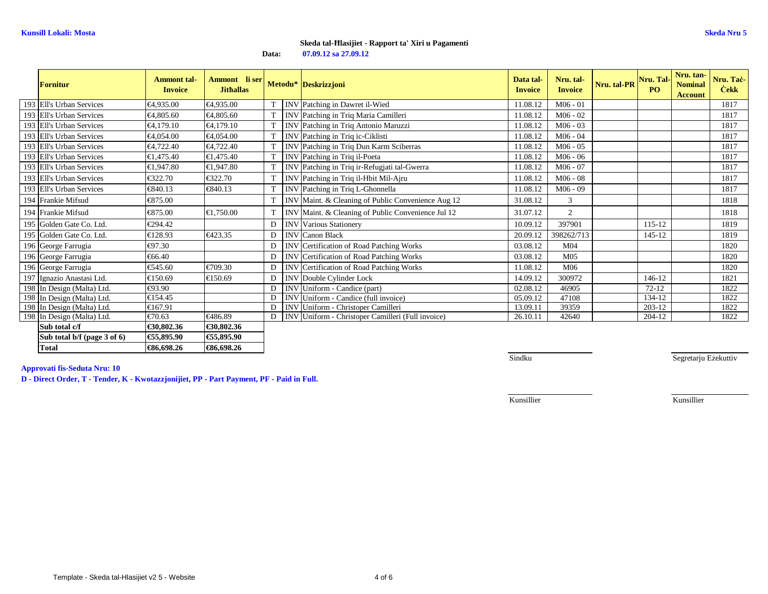**Data:07.09.12 sa 27.09.12**

| <b>Fornitur</b>             | <b>Ammont</b> tal-<br><b>Invoice</b> | Ammont li ser<br><b>Jithallas</b> |    |            | Metodu* Deskrizzjoni                               | Data tal-<br><b>Invoice</b> | Nru. tal-<br><b>Invoice</b> | Nru. tal-PR Nru. Tal- | <b>PO</b> | Nru. tan-<br><b>Nominal</b><br><b>Account</b> | Nru. Taċ-<br><b>Cekk</b> |
|-----------------------------|--------------------------------------|-----------------------------------|----|------------|----------------------------------------------------|-----------------------------|-----------------------------|-----------------------|-----------|-----------------------------------------------|--------------------------|
| 193 Ell's Urban Services    | €4,935.00                            | €4.935.00                         |    |            | INV Patching in Dawret il-Wied                     | 11.08.12                    | $M06 - 01$                  |                       |           |                                               | 1817                     |
| 193 Ell's Urban Services    | €4,805.60                            | €4,805.60                         | T. | <b>INV</b> | Patching in Triq Maria Camilleri                   | 11.08.12                    | $M06 - 02$                  |                       |           |                                               | 1817                     |
| 193 Ell's Urban Services    | €4,179.10                            | €4,179.10                         |    |            | INV Patching in Triq Antonio Maruzzi               | 11.08.12                    | $M06 - 03$                  |                       |           |                                               | 1817                     |
| 193 Ell's Urban Services    | €4,054.00                            | €4,054.00                         |    |            | INV Patching in Triq ic-Ciklisti                   | 11.08.12                    | $M06 - 04$                  |                       |           |                                               | 1817                     |
| 193 Ell's Urban Services    | €4,722.40                            | €4,722.40                         | T. |            | INV Patching in Triq Dun Karm Sciberras            | 11.08.12                    | $M06 - 05$                  |                       |           |                                               | 1817                     |
| 193 Ell's Urban Services    | €1,475.40                            | €1,475.40                         |    |            | INV Patching in Triq il-Poeta                      | 11.08.12                    | $M06 - 06$                  |                       |           |                                               | 1817                     |
| 193 Ell's Urban Services    | €1,947.80                            | €1,947.80                         |    |            | INV Patching in Triq ir-Refugjati tal-Gwera        | 11.08.12                    | $M06 - 07$                  |                       |           |                                               | 1817                     |
| 193 Ell's Urban Services    | €322.70                              | €322.70                           |    |            | INV Patching in Triq il-Hbit Mil-Ajru              | 11.08.12                    | $M06 - 08$                  |                       |           |                                               | 1817                     |
| 193 Ell's Urban Services    | €840.13                              | €840.13                           |    |            | INV Patching in Triq L-Ghonnella                   | 11.08.12                    | $M06 - 09$                  |                       |           |                                               | 1817                     |
| 194 Frankie Mifsud          | €875.00                              |                                   |    |            | INV Maint. & Cleaning of Public Convenience Aug 12 | 31.08.12                    | 3                           |                       |           |                                               | 1818                     |
| 194 Frankie Mifsud          | €875.00                              | €1,750.00                         |    |            | INV Maint. & Cleaning of Public Convenience Jul 12 | 31.07.12                    | $\overline{2}$              |                       |           |                                               | 1818                     |
| 195 Golden Gate Co. Ltd.    | €294.42                              |                                   | D  |            | <b>INV</b> Various Stationery                      | 10.09.12                    | 397901                      |                       | 115-12    |                                               | 1819                     |
| 195 Golden Gate Co. Ltd.    | €128.93                              | €423.35                           | D  |            | <b>INV</b> Canon Black                             | 20.09.12                    | 398262/713                  |                       | 145-12    |                                               | 1819                     |
| 196 George Farrugia         | €97.30                               |                                   | D  |            | INV Certification of Road Patching Works           | 03.08.12                    | M <sub>04</sub>             |                       |           |                                               | 1820                     |
| 196 George Farrugia         | €66.40                               |                                   | D  |            | INV Certification of Road Patching Works           | 03.08.12                    | M <sub>05</sub>             |                       |           |                                               | 1820                     |
| 196 George Farrugia         | €545.60                              | €709.30                           | D  |            | INV Certification of Road Patching Works           | 11.08.12                    | M06                         |                       |           |                                               | 1820                     |
| 197 Ignazio Anastasi Ltd.   | €150.69                              | €150.69                           | D  |            | <b>INV</b> Double Cylinder Lock                    | 14.09.12                    | 300972                      |                       | 146-12    |                                               | 1821                     |
| 198 In Design (Malta) Ltd.  | €93.90                               |                                   |    |            | INV Uniform - Candice (part)                       | 02.08.12                    | 46905                       |                       | $72 - 12$ |                                               | 1822                     |
| 198 In Design (Malta) Ltd.  | €154.45                              |                                   |    |            | INV Uniform - Candice (full invoice)               | 05.09.12                    | 47108                       |                       | 134-12    |                                               | 1822                     |
| 198 In Design (Malta) Ltd.  | €167.91                              |                                   |    |            | <b>INV</b> Uniform - Christoper Camilleri          | 13.09.11                    | 39359                       |                       | 203-12    |                                               | 1822                     |
| 198 In Design (Malta) Ltd.  | €70.63                               | €486.89                           | D  |            | INV Uniform - Christoper Camilleri (Full invoice)  | 26.10.11                    | 42640                       |                       | 204-12    |                                               | 1822                     |
| Sub total c/f               | €30,802.36                           | €30,802.36                        |    |            |                                                    |                             |                             |                       |           |                                               |                          |
| Sub total b/f (page 3 of 6) | €55,895.90                           | €55,895.90                        |    |            |                                                    |                             |                             |                       |           |                                               |                          |
| <b>Total</b>                | €86,698.26                           | €86,698.26                        |    |            |                                                    |                             |                             |                       |           |                                               |                          |

**Approvati fis-Seduta Nru: 10**

**D - Direct Order, T - Tender, K - Kwotazzjonijiet, PP - Part Payment, PF - Paid in Full.**

**Sindku** 

Segretarju Eżekuttiv

Kunsillier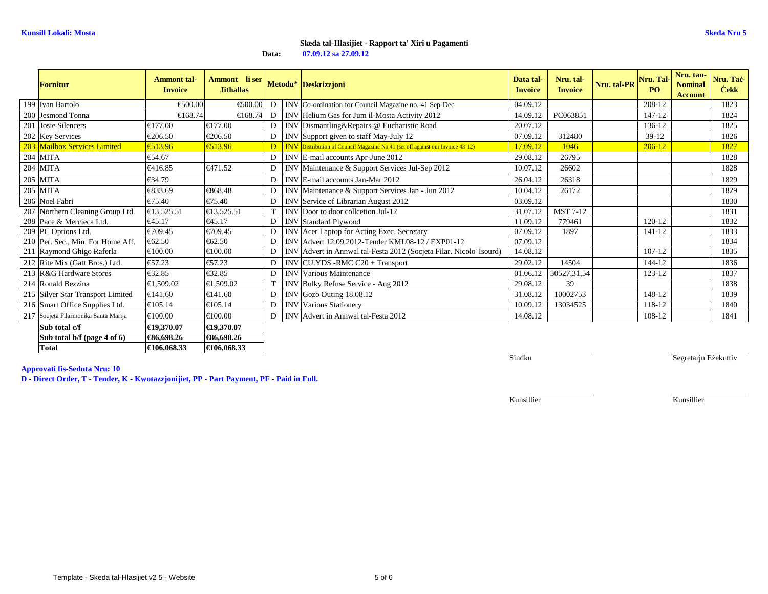#### **07.09.12 sa 27.09.12Skeda tal-Ħlasijiet - Rapport ta' Xiri u Pagamenti**

**Data:**

| <b>Fornitur</b>                      | <b>Ammont</b> tal-<br><b>Invoice</b> | Ammont li ser<br><b>Jithallas</b> |                | Metodu* Deskrizzjoni                                                                    | Data tal-<br><b>Invoice</b> | Nru. tal-<br><b>Invoice</b> | Nru. tal-PR | Nru. Tal-<br>PO <sub>1</sub> | Nru. tan-<br><b>Nominal</b><br><b>Account</b> | Nru. Taċ-<br><b>Cekk</b> |
|--------------------------------------|--------------------------------------|-----------------------------------|----------------|-----------------------------------------------------------------------------------------|-----------------------------|-----------------------------|-------------|------------------------------|-----------------------------------------------|--------------------------|
| 199 Ivan Bartolo                     | €500.00                              | €500.00                           |                | D   INVCo-ordination for Council Magazine no. 41 Sep-Dec                                | 04.09.12                    |                             |             | 208-12                       |                                               | 1823                     |
| 200 Jesmond Tonna                    | €168.74                              | €168.74                           | D <sub>1</sub> | INV Helium Gas for Jum il-Mosta Activity 2012                                           | 14.09.12                    | PC063851                    |             | 147-12                       |                                               | 1824                     |
| 201 Josie Silencers                  | €177.00                              | €177.00                           | D <sub>1</sub> | INV Dismantling&Repairs @ Eucharistic Road                                              | 20.07.12                    |                             |             | 136-12                       |                                               | 1825                     |
| 202 Key Services                     | €206.50                              | €206.50                           | $\overline{D}$ | INV Support given to staff May-July 12                                                  | 07.09.12                    | 312480                      |             | $39-12$                      |                                               | 1826                     |
| 203 Mailbox Services Limited         | €513.96                              | €513.96                           |                | <b>D INV</b> Distribution of Council Magazine No.41 (set off against our Invoice 43-12) | 17.09.12                    | 1046                        |             | $206 - 12$                   |                                               | 1827                     |
| 204 MITA                             | €54.67                               |                                   | $\overline{D}$ | INV E-mail accounts Apr-June 2012                                                       | 29.08.12                    | 26795                       |             |                              |                                               | 1828                     |
| 204 MITA                             | €416.85                              | €471.52                           | D              | INV Maintenance & Support Services Jul-Sep 2012                                         | 10.07.12                    | 26602                       |             |                              |                                               | 1828                     |
| 205 MITA                             | €34.79                               |                                   | D              | INV E-mail accounts Jan-Mar 2012                                                        | 26.04.12                    | 26318                       |             |                              |                                               | 1829                     |
| 205 MITA                             | €833.69                              | €868.48                           | $\overline{D}$ | INV Maintenance & Support Services Jan - Jun 2012                                       | 10.04.12                    | 26172                       |             |                              |                                               | 1829                     |
| 206 Noel Fabri                       | €75.40                               | €75.40                            | $\overline{D}$ | INV Service of Librarian August 2012                                                    | 03.09.12                    |                             |             |                              |                                               | 1830                     |
| 207 Northern Cleaning Group Ltd.     | €13,525.51                           | €13,525.51                        | T              | INV Door to door collection Jul-12                                                      | 31.07.12                    | <b>MST7-12</b>              |             |                              |                                               | 1831                     |
| 208 Pace & Mercieca Ltd.             | €45.17                               | €45.17                            | D              | <b>INV</b> Standard Plywood                                                             | 11.09.12                    | 779461                      |             | $120 - 12$                   |                                               | 1832                     |
| 209 PC Options Ltd.                  | €709.45                              | €709.45                           | D              | INV Acer Laptop for Acting Exec. Secretary                                              | 07.09.12                    | 1897                        |             | $141 - 12$                   |                                               | 1833                     |
| 210 Per. Sec., Min. For Home Aff.    | €62.50                               | €62.50                            |                | INV Advert 12.09.2012-Tender KML08-12 / EXP01-12                                        | 07.09.12                    |                             |             |                              |                                               | 1834                     |
| 211 Raymond Ghigo Raferla            | €100.00                              | €100.00                           | D              | INV Advert in Annwal tal-Festa 2012 (Socjeta Har. Nicolo' Isourd)                       | 14.08.12                    |                             |             | $107 - 12$                   |                                               | 1835                     |
| 212 Rite Mix (Gatt Bros.) Ltd.       | €57.23                               | €57.23                            | D              | INV CU.YDS -RMC C20 + Transport                                                         | 29.02.12                    | 14504                       |             | 144-12                       |                                               | 1836                     |
| 213 R&G Hardware Stores              | €32.85                               | €32.85                            | $\mathbf{D}$   | <b>INV</b> Various Maintenance                                                          | 01.06.12                    | 30527,31,54                 |             | 123-12                       |                                               | 1837                     |
| 214 Ronald Bezzina                   | €1,509.02                            | €1,509.02                         | T.             | INV Bulky Refuse Service - Aug 2012                                                     | 29.08.12                    | 39                          |             |                              |                                               | 1838                     |
| 215 Silver Star Transport Limited    | €141.60                              | €141.60                           | D              | INV Gozo Outing 18.08.12                                                                | 31.08.12                    | 10002753                    |             | 148-12                       |                                               | 1839                     |
| 216 Smart Office Supplies Ltd.       | €105.14                              | €105.14                           | D              | <b>INV Various Stationery</b>                                                           | 10.09.12                    | 13034525                    |             | 118-12                       |                                               | 1840                     |
| 217 Socjeta Filarmonika Santa Marija | €100.00                              | $\epsilon$ 100.00                 | D              | INV Advert in Annwal tal-Festa 2012                                                     | 14.08.12                    |                             |             | 108-12                       |                                               | 1841                     |
| Sub total c/f                        | €19,370.07                           | €19,370.07                        |                |                                                                                         |                             |                             |             |                              |                                               |                          |
| Sub total b/f (page 4 of 6)          | €86,698.26                           | €86,698.26                        |                |                                                                                         |                             |                             |             |                              |                                               |                          |
| <b>Total</b>                         | €106,068.33                          | €106,068.33                       |                |                                                                                         |                             |                             |             |                              |                                               |                          |

**Approvati fis-Seduta Nru: 10**

**D - Direct Order, T - Tender, K - Kwotazzjonijiet, PP - Part Payment, PF - Paid in Full.**

Sindku

Segretarju Eżekuttiv

Kunsillier